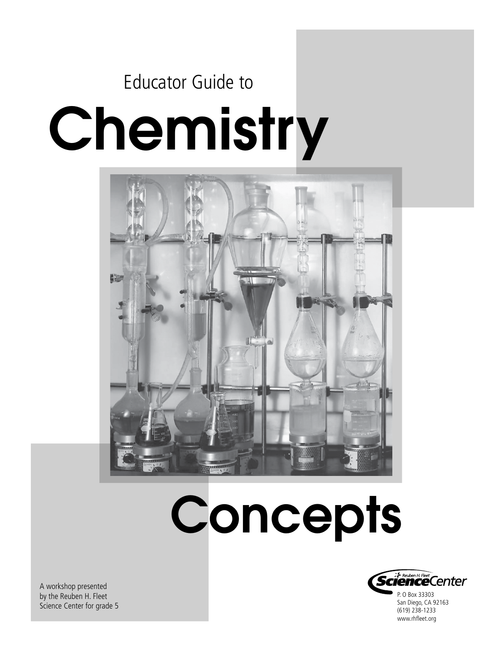## Chemistry Educator Guide to



# **Concepts**



P. O Box 33303 San Diego, CA 92163 (619) 238-1233 www.rhfleet.org

A workshop presented by the Reuben H. Fleet Science Center for grade 5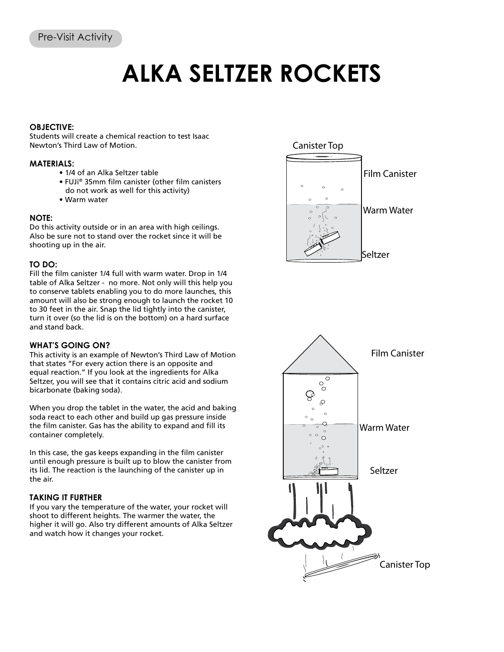### **ALKA SELTZER ROCKETS**

#### **OBJECTIVE:**

Students will create a chemical reaction to test Isaac Newton's Third Law of Motion.

#### **MATERIALS:**

- 1/4 of an Alka Seltzer table
- FUJi® 35mm film canister (other film canisters
- do not work as well for this activity)
- Warm water

#### **NOTE:**

Do this activity outside or in an area with high ceilings. Also be sure not to stand over the rocket since it will be shooting up in the air.

#### **TO DO:**

Fill the film canister 1/4 full with warm water. Drop in 1/4 table of Alka Seltzer - no more. Not only will this help you to conserve tablets enabling you to do more launches, this amount will also be strong enough to launch the rocket 10 to 30 feet in the air. Snap the lid tightly into the canister, turn it over (so the lid is on the bottom) on a hard surface and stand back.

#### **WHAT'S GOING ON?**

This activity is an example of Newton's Third Law of Motion that states "For every action there is an opposite and equal reaction." If you look at the ingredients for Alka Seltzer, you will see that it contains citric acid and sodium bicarbonate (baking soda).

When you drop the tablet in the water, the acid and baking soda react to each other and build up gas pressure inside the film canister. Gas has the ability to expand and fill its container completely.

In this case, the gas keeps expanding in the film canister until enough pressure is built up to blow the canister from its lid. The reaction is the launching of the canister up in the air.

#### **TAKING IT FURTHER**

If you vary the temperature of the water, your rocket will shoot to different heights. The warmer the water, the higher it will go. Also try different amounts of Alka Seltzer and watch how it changes your rocket.

#### Canister Top